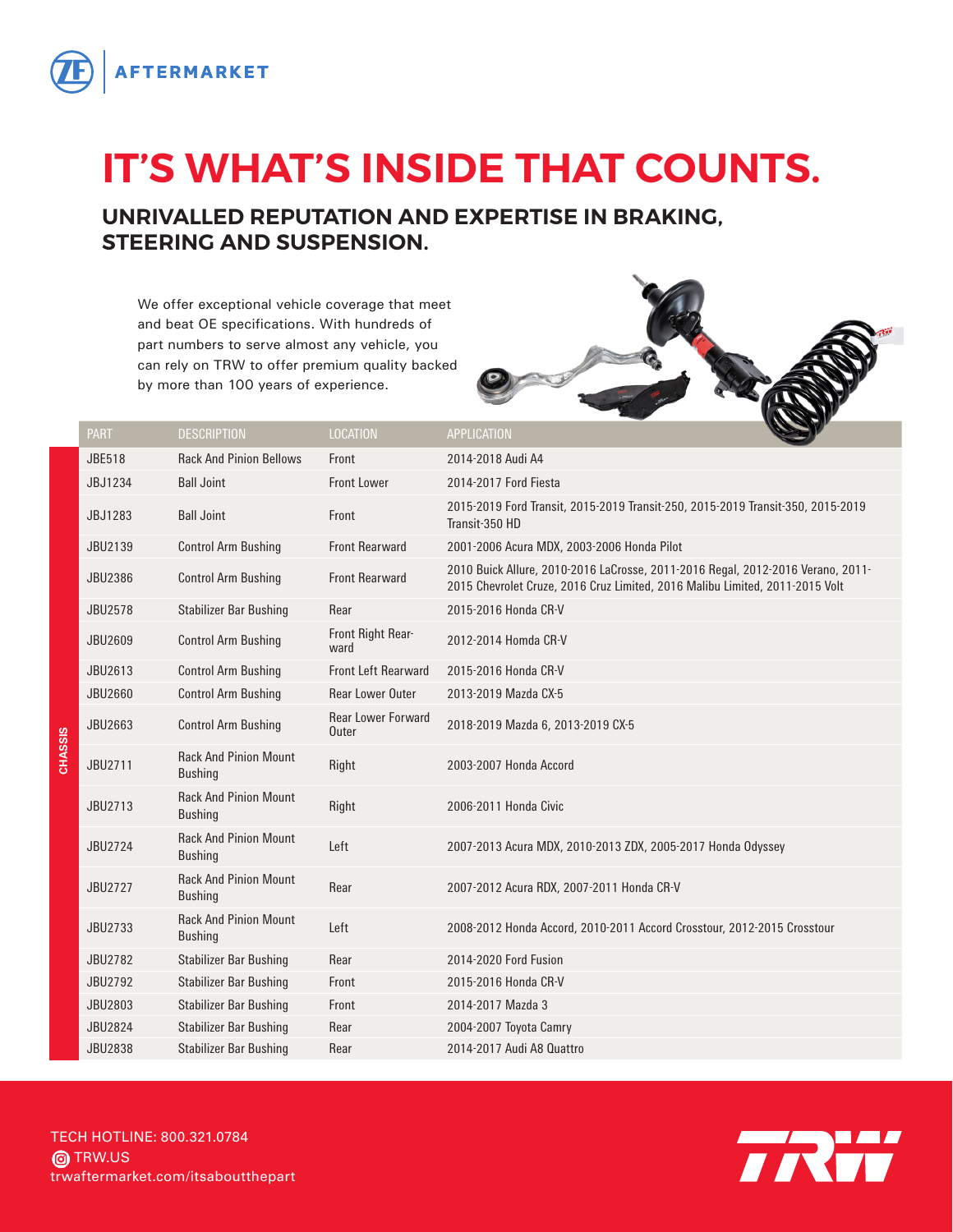

## **IT'S WHAT'S INSIDE THAT COUNTS.**

## **UNRIVALLED REPUTATION AND EXPERTISE IN BRAKING, STEERING AND SUSPENSION.**

We offer exceptional vehicle coverage that meet and beat OE specifications. With hundreds of part numbers to serve almost any vehicle, you can rely on TRW to offer premium quality backed by more than 100 years of experience.



|         | <b>PART</b>    | <b>DESCRIPTION</b>                             | LOCATION                           | <b>APPLICATION</b>                                                                                                                                              |
|---------|----------------|------------------------------------------------|------------------------------------|-----------------------------------------------------------------------------------------------------------------------------------------------------------------|
|         | <b>JBE518</b>  | <b>Rack And Pinion Bellows</b>                 | Front                              | 2014-2018 Audi A4                                                                                                                                               |
|         | JBJ1234        | <b>Ball Joint</b>                              | <b>Front Lower</b>                 | 2014-2017 Ford Fiesta                                                                                                                                           |
|         | JBJ1283        | <b>Ball Joint</b>                              | Front                              | 2015-2019 Ford Transit, 2015-2019 Transit-250, 2015-2019 Transit-350, 2015-2019<br>Transit-350 HD                                                               |
|         | JBU2139        | <b>Control Arm Bushing</b>                     | <b>Front Rearward</b>              | 2001-2006 Acura MDX, 2003-2006 Honda Pilot                                                                                                                      |
|         | JBU2386        | <b>Control Arm Bushing</b>                     | <b>Front Rearward</b>              | 2010 Buick Allure, 2010-2016 LaCrosse, 2011-2016 Regal, 2012-2016 Verano, 2011-<br>2015 Chevrolet Cruze, 2016 Cruz Limited, 2016 Malibu Limited, 2011-2015 Volt |
|         | <b>JBU2578</b> | <b>Stabilizer Bar Bushing</b>                  | Rear                               | 2015-2016 Honda CR-V                                                                                                                                            |
|         | JBU2609        | <b>Control Arm Bushing</b>                     | Front Right Rear-<br>ward          | 2012-2014 Homda CR-V                                                                                                                                            |
|         | JBU2613        | <b>Control Arm Bushing</b>                     | <b>Front Left Rearward</b>         | 2015-2016 Honda CR-V                                                                                                                                            |
|         | JBU2660        | <b>Control Arm Bushing</b>                     | <b>Rear Lower Outer</b>            | 2013-2019 Mazda CX-5                                                                                                                                            |
|         | JBU2663        | <b>Control Arm Bushing</b>                     | <b>Rear Lower Forward</b><br>Outer | 2018-2019 Mazda 6, 2013-2019 CX-5                                                                                                                               |
| CHASSIS | JBU2711        | <b>Rack And Pinion Mount</b><br><b>Bushing</b> | Right                              | 2003-2007 Honda Accord                                                                                                                                          |
|         | JBU2713        | <b>Rack And Pinion Mount</b><br><b>Bushing</b> | Right                              | 2006-2011 Honda Civic                                                                                                                                           |
|         | JBU2724        | <b>Rack And Pinion Mount</b><br><b>Bushing</b> | Left                               | 2007-2013 Acura MDX, 2010-2013 ZDX, 2005-2017 Honda Odyssey                                                                                                     |
|         | JBU2727        | <b>Rack And Pinion Mount</b><br><b>Bushing</b> | Rear                               | 2007-2012 Acura RDX, 2007-2011 Honda CR-V                                                                                                                       |
|         | JBU2733        | <b>Rack And Pinion Mount</b><br><b>Bushing</b> | Left                               | 2008-2012 Honda Accord, 2010-2011 Accord Crosstour, 2012-2015 Crosstour                                                                                         |
|         | JBU2782        | <b>Stabilizer Bar Bushing</b>                  | Rear                               | 2014-2020 Ford Fusion                                                                                                                                           |
|         | JBU2792        | <b>Stabilizer Bar Bushing</b>                  | Front                              | 2015-2016 Honda CR-V                                                                                                                                            |
|         | JBU2803        | <b>Stabilizer Bar Bushing</b>                  | Front                              | 2014-2017 Mazda 3                                                                                                                                               |
|         | <b>JBU2824</b> | <b>Stabilizer Bar Bushing</b>                  | Rear                               | 2004-2007 Toyota Camry                                                                                                                                          |
|         | <b>JBU2838</b> | Stabilizer Bar Bushing                         | Rear                               | 2014-2017 Audi A8 Quattro                                                                                                                                       |

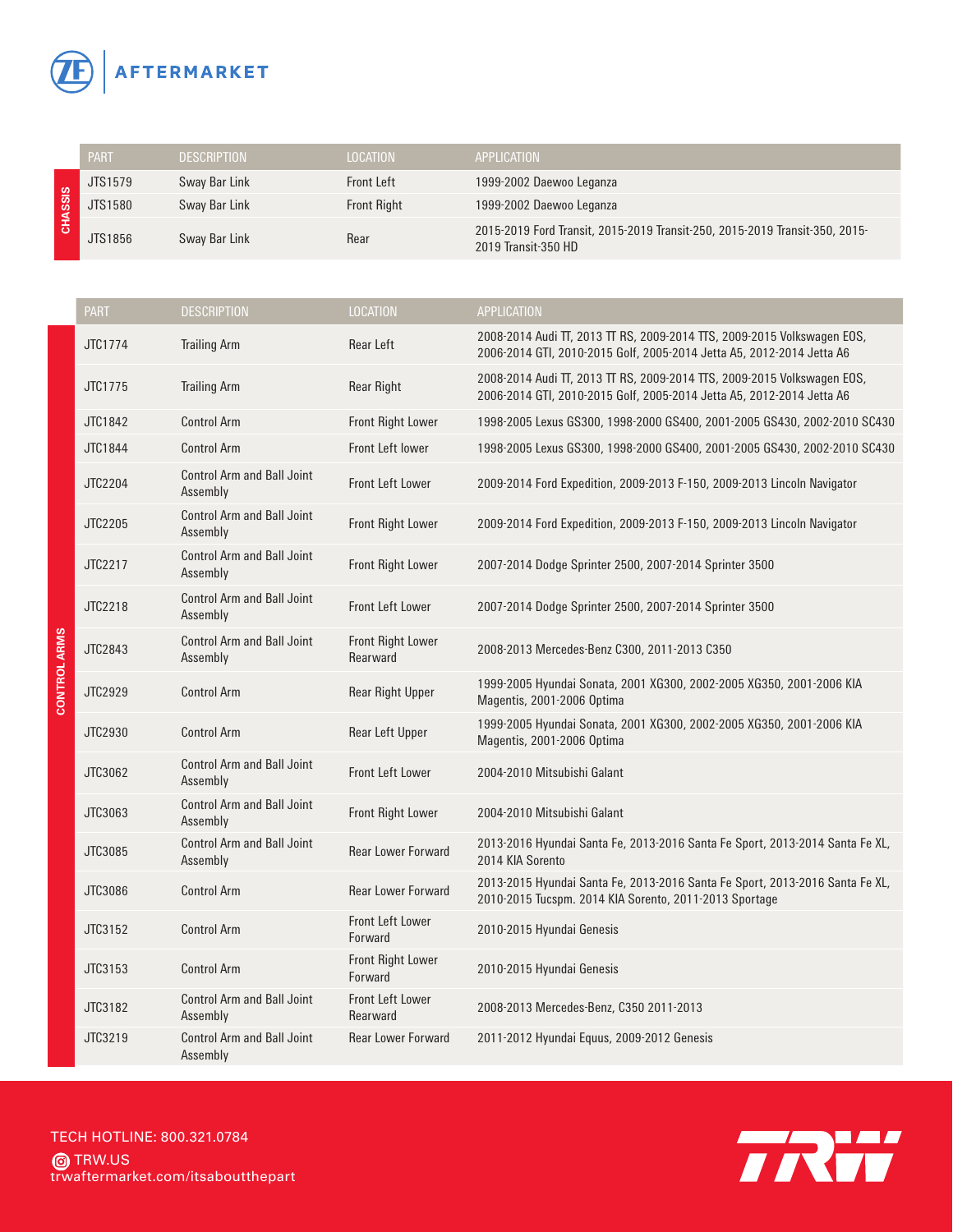

|                     | JTS1579     | Sway Bar Link                                 | <b>Front Left</b>                    | 1999-2002 Daewoo Leganza                                                                                                                         |
|---------------------|-------------|-----------------------------------------------|--------------------------------------|--------------------------------------------------------------------------------------------------------------------------------------------------|
| <b>CHASSIS</b>      | JTS1580     | Sway Bar Link                                 | <b>Front Right</b>                   | 1999-2002 Daewoo Leganza                                                                                                                         |
|                     | JTS1856     | Sway Bar Link                                 | Rear                                 | 2015-2019 Ford Transit, 2015-2019 Transit-250, 2015-2019 Transit-350, 2015-<br>2019 Transit-350 HD                                               |
|                     |             |                                               |                                      |                                                                                                                                                  |
|                     | <b>PART</b> | <b>DESCRIPTION</b>                            | <b>LOCATION</b>                      | APPLICATION                                                                                                                                      |
|                     | JTC1774     | <b>Trailing Arm</b>                           | Rear Left                            | 2008-2014 Audi TT, 2013 TT RS, 2009-2014 TTS, 2009-2015 Volkswagen EOS,<br>2006-2014 GTI, 2010-2015 Golf, 2005-2014 Jetta A5, 2012-2014 Jetta A6 |
|                     | JTC1775     | <b>Trailing Arm</b>                           | <b>Rear Right</b>                    | 2008-2014 Audi TT, 2013 TT RS, 2009-2014 TTS, 2009-2015 Volkswagen EOS,<br>2006-2014 GTI, 2010-2015 Golf, 2005-2014 Jetta A5, 2012-2014 Jetta A6 |
|                     | JTC1842     | <b>Control Arm</b>                            | <b>Front Right Lower</b>             | 1998-2005 Lexus GS300, 1998-2000 GS400, 2001-2005 GS430, 2002-2010 SC430                                                                         |
|                     | JTC1844     | <b>Control Arm</b>                            | Front Left lower                     | 1998-2005 Lexus GS300, 1998-2000 GS400, 2001-2005 GS430, 2002-2010 SC430                                                                         |
|                     | JTC2204     | <b>Control Arm and Ball Joint</b><br>Assembly | Front Left Lower                     | 2009-2014 Ford Expedition, 2009-2013 F-150, 2009-2013 Lincoln Navigator                                                                          |
|                     | JTC2205     | <b>Control Arm and Ball Joint</b><br>Assembly | <b>Front Right Lower</b>             | 2009-2014 Ford Expedition, 2009-2013 F-150, 2009-2013 Lincoln Navigator                                                                          |
|                     | JTC2217     | <b>Control Arm and Ball Joint</b><br>Assembly | <b>Front Right Lower</b>             | 2007-2014 Dodge Sprinter 2500, 2007-2014 Sprinter 3500                                                                                           |
|                     | JTC2218     | <b>Control Arm and Ball Joint</b><br>Assembly | <b>Front Left Lower</b>              | 2007-2014 Dodge Sprinter 2500, 2007-2014 Sprinter 3500                                                                                           |
| <b>CONTROL ARMS</b> | JTC2843     | <b>Control Arm and Ball Joint</b><br>Assembly | <b>Front Right Lower</b><br>Rearward | 2008-2013 Mercedes-Benz C300, 2011-2013 C350                                                                                                     |
|                     | JTC2929     | <b>Control Arm</b>                            | <b>Rear Right Upper</b>              | 1999-2005 Hyundai Sonata, 2001 XG300, 2002-2005 XG350, 2001-2006 KIA<br>Magentis, 2001-2006 Optima                                               |
|                     | JTC2930     | <b>Control Arm</b>                            | Rear Left Upper                      | 1999-2005 Hyundai Sonata, 2001 XG300, 2002-2005 XG350, 2001-2006 KIA<br>Magentis, 2001-2006 Optima                                               |
|                     | JTC3062     | <b>Control Arm and Ball Joint</b><br>Assembly | Front Left Lower                     | 2004-2010 Mitsubishi Galant                                                                                                                      |
|                     | JTC3063     | <b>Control Arm and Ball Joint</b><br>Assembly | <b>Front Right Lower</b>             | 2004-2010 Mitsubishi Galant                                                                                                                      |
|                     | JTC3085     | <b>Control Arm and Ball Joint</b><br>Assembly | <b>Rear Lower Forward</b>            | 2013-2016 Hyundai Santa Fe, 2013-2016 Santa Fe Sport, 2013-2014 Santa Fe XL,<br>2014 KIA Sorento                                                 |
|                     | JTC3086     | <b>Control Arm</b>                            | <b>Rear Lower Forward</b>            | 2013-2015 Hyundai Santa Fe, 2013-2016 Santa Fe Sport, 2013-2016 Santa Fe XL,<br>2010-2015 Tucspm. 2014 KIA Sorento, 2011-2013 Sportage           |
|                     | JTC3152     | <b>Control Arm</b>                            | Front Left Lower<br>Forward          | 2010-2015 Hyundai Genesis                                                                                                                        |
|                     | JTC3153     | <b>Control Arm</b>                            | <b>Front Right Lower</b><br>Forward  | 2010-2015 Hyundai Genesis                                                                                                                        |
|                     | JTC3182     | <b>Control Arm and Ball Joint</b>             | Front Left Lower                     | 2008-2013 Mercedes-Benz, C350 2011-2013                                                                                                          |

Rearward 2008-2013 Mercedes-Benz, C350 2011-2013

PART DESCRIPTION DESCRIPTION LOCATION APPLICATION

trwaftermarket.com/itsaboutthepart TECH HOTLINE: 800.321.0784 **@**TRW.US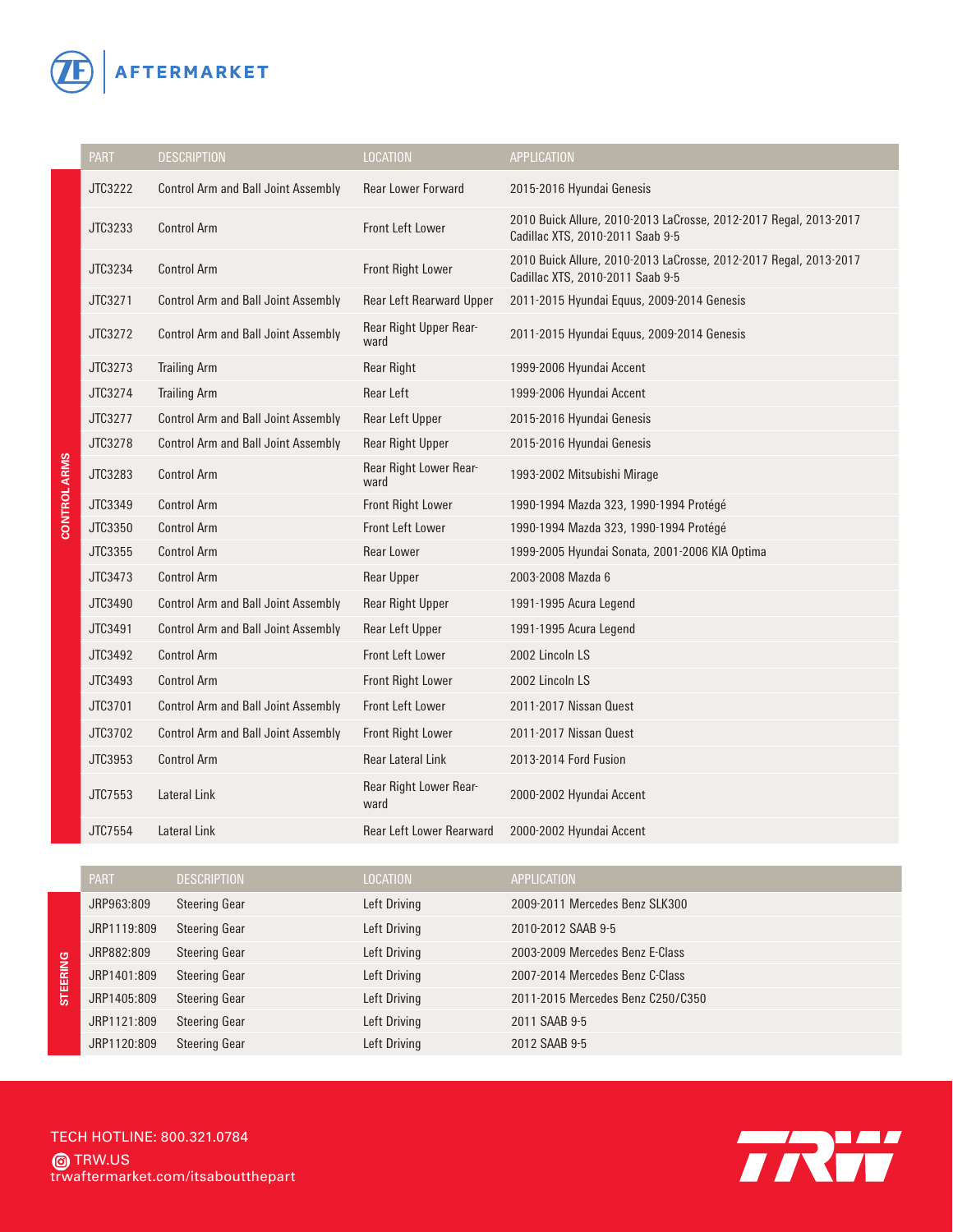

|                     | <b>PART</b> | <b>DESCRIPTION</b>                         | <b>LOCATION</b>                 | <b>APPLICATION</b>                                                                                    |
|---------------------|-------------|--------------------------------------------|---------------------------------|-------------------------------------------------------------------------------------------------------|
|                     | JTC3222     | <b>Control Arm and Ball Joint Assembly</b> | <b>Rear Lower Forward</b>       | 2015-2016 Hyundai Genesis                                                                             |
|                     | JTC3233     | <b>Control Arm</b>                         | <b>Front Left Lower</b>         | 2010 Buick Allure, 2010-2013 LaCrosse, 2012-2017 Regal, 2013-2017<br>Cadillac XTS, 2010-2011 Saab 9-5 |
|                     | JTC3234     | <b>Control Arm</b>                         | <b>Front Right Lower</b>        | 2010 Buick Allure, 2010-2013 LaCrosse, 2012-2017 Regal, 2013-2017<br>Cadillac XTS, 2010-2011 Saab 9-5 |
|                     | JTC3271     | <b>Control Arm and Ball Joint Assembly</b> | <b>Rear Left Rearward Upper</b> | 2011-2015 Hyundai Equus, 2009-2014 Genesis                                                            |
|                     | JTC3272     | <b>Control Arm and Ball Joint Assembly</b> | Rear Right Upper Rear-<br>ward  | 2011-2015 Hyundai Equus, 2009-2014 Genesis                                                            |
|                     | JTC3273     | <b>Trailing Arm</b>                        | <b>Rear Right</b>               | 1999-2006 Hyundai Accent                                                                              |
|                     | JTC3274     | <b>Trailing Arm</b>                        | <b>Rear Left</b>                | 1999-2006 Hyundai Accent                                                                              |
|                     | JTC3277     | <b>Control Arm and Ball Joint Assembly</b> | Rear Left Upper                 | 2015-2016 Hyundai Genesis                                                                             |
|                     | JTC3278     | <b>Control Arm and Ball Joint Assembly</b> | <b>Rear Right Upper</b>         | 2015-2016 Hyundai Genesis                                                                             |
| <b>CONTROL ARMS</b> | JTC3283     | <b>Control Arm</b>                         | Rear Right Lower Rear-<br>ward  | 1993-2002 Mitsubishi Mirage                                                                           |
|                     | JTC3349     | <b>Control Arm</b>                         | <b>Front Right Lower</b>        | 1990-1994 Mazda 323, 1990-1994 Protégé                                                                |
|                     | JTC3350     | <b>Control Arm</b>                         | Front Left Lower                | 1990-1994 Mazda 323, 1990-1994 Protégé                                                                |
|                     | JTC3355     | <b>Control Arm</b>                         | <b>Rear Lower</b>               | 1999-2005 Hyundai Sonata, 2001-2006 KIA Optima                                                        |
|                     | JTC3473     | <b>Control Arm</b>                         | <b>Rear Upper</b>               | 2003-2008 Mazda 6                                                                                     |
|                     | JTC3490     | <b>Control Arm and Ball Joint Assembly</b> | <b>Rear Right Upper</b>         | 1991-1995 Acura Legend                                                                                |
|                     | JTC3491     | <b>Control Arm and Ball Joint Assembly</b> | Rear Left Upper                 | 1991-1995 Acura Legend                                                                                |
|                     | JTC3492     | <b>Control Arm</b>                         | <b>Front Left Lower</b>         | 2002 Lincoln LS                                                                                       |
|                     | JTC3493     | <b>Control Arm</b>                         | <b>Front Right Lower</b>        | 2002 Lincoln LS                                                                                       |
|                     | JTC3701     | <b>Control Arm and Ball Joint Assembly</b> | Front Left Lower                | 2011-2017 Nissan Quest                                                                                |
|                     | JTC3702     | <b>Control Arm and Ball Joint Assembly</b> | <b>Front Right Lower</b>        | 2011-2017 Nissan Quest                                                                                |
|                     | JTC3953     | <b>Control Arm</b>                         | <b>Rear Lateral Link</b>        | 2013-2014 Ford Fusion                                                                                 |
|                     | JTC7553     | Lateral Link                               | Rear Right Lower Rear-<br>ward  | 2000-2002 Hyundai Accent                                                                              |
|                     | JTC7554     | Lateral Link                               | <b>Rear Left Lower Rearward</b> | 2000-2002 Hyundai Accent                                                                              |
|                     |             |                                            |                                 |                                                                                                       |

|  | <b>PART</b> | <b>DESCRIPTION</b>   | <b>LOCATION</b> | <b>APPLICATION</b>                |
|--|-------------|----------------------|-----------------|-----------------------------------|
|  | JRP963:809  | <b>Steering Gear</b> | Left Driving    | 2009-2011 Mercedes Benz SLK300    |
|  | JRP1119:809 | <b>Steering Gear</b> | Left Driving    | 2010-2012 SAAB 9-5                |
|  | JRP882:809  | <b>Steering Gear</b> | Left Driving    | 2003-2009 Mercedes Benz E-Class   |
|  | JRP1401:809 | <b>Steering Gear</b> | Left Driving    | 2007-2014 Mercedes Benz C-Class   |
|  | JRP1405:809 | <b>Steering Gear</b> | Left Driving    | 2011-2015 Mercedes Benz C250/C350 |
|  | JRP1121:809 | <b>Steering Gear</b> | Left Driving    | 2011 SAAB 9-5                     |
|  | JRP1120:809 | <b>Steering Gear</b> | Left Driving    | 2012 SAAB 9-5                     |